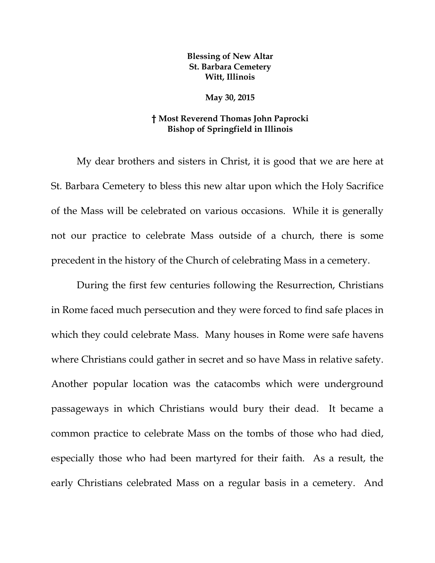## **Blessing of New Altar St. Barbara Cemetery Witt, Illinois**

**May 30, 2015** 

## **† Most Reverend Thomas John Paprocki Bishop of Springfield in Illinois**

My dear brothers and sisters in Christ, it is good that we are here at St. Barbara Cemetery to bless this new altar upon which the Holy Sacrifice of the Mass will be celebrated on various occasions. While it is generally not our practice to celebrate Mass outside of a church, there is some precedent in the history of the Church of celebrating Mass in a cemetery.

 During the first few centuries following the Resurrection, Christians in Rome faced much persecution and they were forced to find safe places in which they could celebrate Mass. Many houses in Rome were safe havens where Christians could gather in secret and so have Mass in relative safety. Another popular location was the catacombs which were underground passageways in which Christians would bury their dead. It became a common practice to celebrate Mass on the tombs of those who had died, especially those who had been martyred for their faith. As a result, the early Christians celebrated Mass on a regular basis in a cemetery. And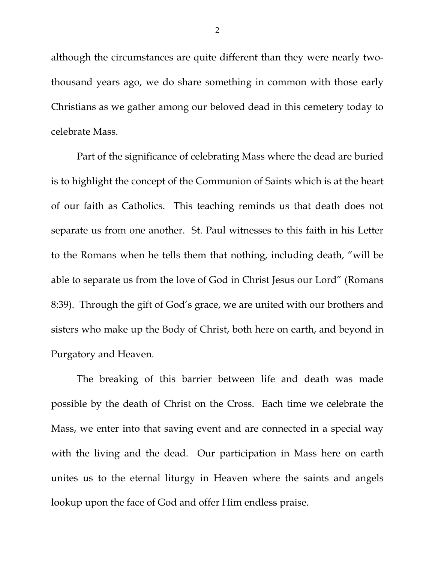although the circumstances are quite different than they were nearly twothousand years ago, we do share something in common with those early Christians as we gather among our beloved dead in this cemetery today to celebrate Mass.

 Part of the significance of celebrating Mass where the dead are buried is to highlight the concept of the Communion of Saints which is at the heart of our faith as Catholics. This teaching reminds us that death does not separate us from one another. St. Paul witnesses to this faith in his Letter to the Romans when he tells them that nothing, including death, "will be able to separate us from the love of God in Christ Jesus our Lord" (Romans 8:39). Through the gift of God's grace, we are united with our brothers and sisters who make up the Body of Christ, both here on earth, and beyond in Purgatory and Heaven.

 The breaking of this barrier between life and death was made possible by the death of Christ on the Cross. Each time we celebrate the Mass, we enter into that saving event and are connected in a special way with the living and the dead. Our participation in Mass here on earth unites us to the eternal liturgy in Heaven where the saints and angels lookup upon the face of God and offer Him endless praise.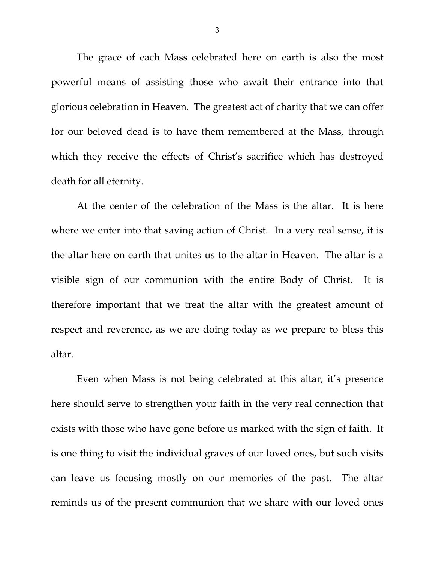The grace of each Mass celebrated here on earth is also the most powerful means of assisting those who await their entrance into that glorious celebration in Heaven. The greatest act of charity that we can offer for our beloved dead is to have them remembered at the Mass, through which they receive the effects of Christ's sacrifice which has destroyed death for all eternity.

 At the center of the celebration of the Mass is the altar. It is here where we enter into that saving action of Christ. In a very real sense, it is the altar here on earth that unites us to the altar in Heaven. The altar is a visible sign of our communion with the entire Body of Christ. It is therefore important that we treat the altar with the greatest amount of respect and reverence, as we are doing today as we prepare to bless this altar.

 Even when Mass is not being celebrated at this altar, it's presence here should serve to strengthen your faith in the very real connection that exists with those who have gone before us marked with the sign of faith. It is one thing to visit the individual graves of our loved ones, but such visits can leave us focusing mostly on our memories of the past. The altar reminds us of the present communion that we share with our loved ones